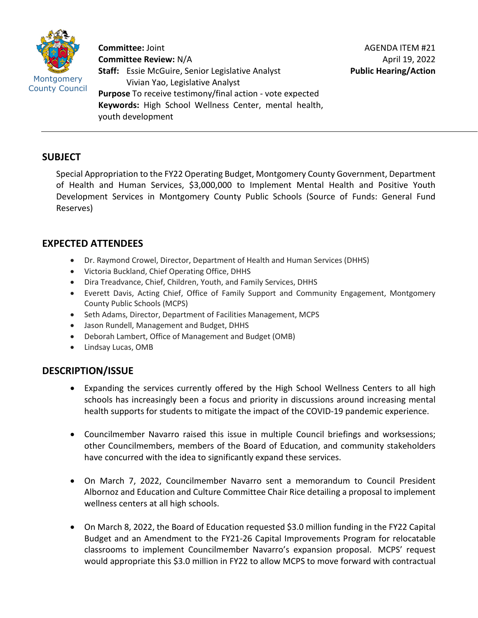

**Committee:** Joint **Committee Review:** N/A **Staff:** Essie McGuire, Senior Legislative Analyst Vivian Yao, Legislative Analyst **Purpose** To receive testimony/final action - vote expected **Keywords:** High School Wellness Center, mental health, youth development

# **SUBJECT**

Special Appropriation to the FY22 Operating Budget, Montgomery County Government, Department of Health and Human Services, \$3,000,000 to Implement Mental Health and Positive Youth Development Services in Montgomery County Public Schools (Source of Funds: General Fund Reserves)

# **EXPECTED ATTENDEES**

- Dr. Raymond Crowel, Director, Department of Health and Human Services (DHHS)
- Victoria Buckland, Chief Operating Office, DHHS
- Dira Treadvance, Chief, Children, Youth, and Family Services, DHHS
- Everett Davis, Acting Chief, Office of Family Support and Community Engagement, Montgomery County Public Schools (MCPS)
- Seth Adams, Director, Department of Facilities Management, MCPS
- Jason Rundell, Management and Budget, DHHS
- Deborah Lambert, Office of Management and Budget (OMB)
- Lindsay Lucas, OMB

# **DESCRIPTION/ISSUE**

- Expanding the services currently offered by the High School Wellness Centers to all high schools has increasingly been a focus and priority in discussions around increasing mental health supports for students to mitigate the impact of the COVID-19 pandemic experience.
- Councilmember Navarro raised this issue in multiple Council briefings and worksessions; other Councilmembers, members of the Board of Education, and community stakeholders have concurred with the idea to significantly expand these services.
- On March 7, 2022, Councilmember Navarro sent a memorandum to Council President Albornoz and Education and Culture Committee Chair Rice detailing a proposal to implement wellness centers at all high schools.
- On March 8, 2022, the Board of Education requested \$3.0 million funding in the FY22 Capital Budget and an Amendment to the FY21-26 Capital Improvements Program for relocatable classrooms to implement Councilmember Navarro's expansion proposal. MCPS' request would appropriate this \$3.0 million in FY22 to allow MCPS to move forward with contractual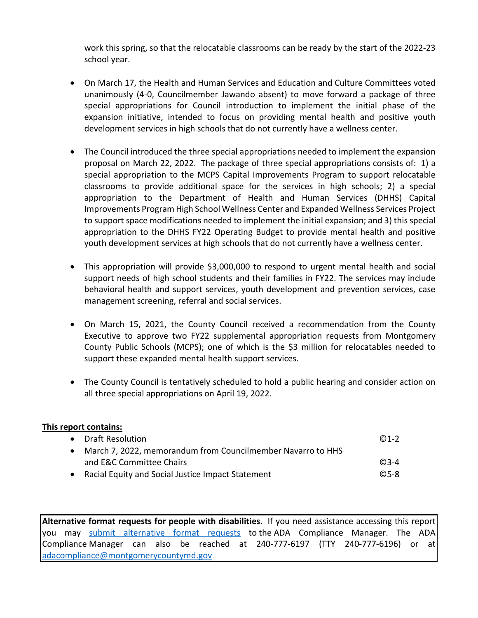work this spring, so that the relocatable classrooms can be ready by the start of the 2022-23 school year.

- On March 17, the Health and Human Services and Education and Culture Committees voted unanimously (4-0, Councilmember Jawando absent) to move forward a package of three special appropriations for Council introduction to implement the initial phase of the expansion initiative, intended to focus on providing mental health and positive youth development services in high schools that do not currently have a wellness center.
- The Council introduced the three special appropriations needed to implement the expansion proposal on March 22, 2022. The package of three special appropriations consists of: 1) a special appropriation to the MCPS Capital Improvements Program to support relocatable classrooms to provide additional space for the services in high schools; 2) a special appropriation to the Department of Health and Human Services (DHHS) Capital Improvements Program High School Wellness Center and Expanded Wellness Services Project to support space modifications needed to implement the initial expansion; and 3) this special appropriation to the DHHS FY22 Operating Budget to provide mental health and positive youth development services at high schools that do not currently have a wellness center.
- This appropriation will provide \$3,000,000 to respond to urgent mental health and social support needs of high school students and their families in FY22. The services may include behavioral health and support services, youth development and prevention services, case management screening, referral and social services.
- On March 15, 2021, the County Council received a recommendation from the County Executive to approve two FY22 supplemental appropriation requests from Montgomery County Public Schools (MCPS); one of which is the \$3 million for relocatables needed to support these expanded mental health support services.
- The County Council is tentatively scheduled to hold a public hearing and consider action on all three special appropriations on April 19, 2022.

| This report contains:                                                    |                   |
|--------------------------------------------------------------------------|-------------------|
| • Draft Resolution                                                       | $@1-2$            |
| March 7, 2022, memorandum from Councilmember Navarro to HHS<br>$\bullet$ |                   |
| and E&C Committee Chairs                                                 | $@3-4$            |
| Racial Equity and Social Justice Impact Statement<br>$\bullet$           | C <sub>5</sub> -8 |

**Alternative format requests for people with disabilities.** If you need assistance accessing this report you may [submit alternative format requests](https://gcc01.safelinks.protection.outlook.com/?url=http%3A%2F%2Fwww2.montgomerycountymd.gov%2Fmcgportalapps%2FAccessibilityForm.aspx&data=02%7C01%7Csandra.marin%40montgomerycountymd.gov%7C79d44e803a8846df027008d6ad4e4d1b%7C6e01b1f9b1e54073ac97778069a0ad64%7C0%7C0%7C636886950086244453&sdata=AT2lwLz22SWBJ8c92gXfspY8lQVeGCrUbqSPzpYheB0%3D&reserved=0) to the ADA Compliance Manager. The ADA Compliance Manager can also be reached at 240-777-6197 (TTY 240-777-6196) or at [adacompliance@montgomerycountymd.gov](mailto:adacompliance@montgomerycountymd.gov)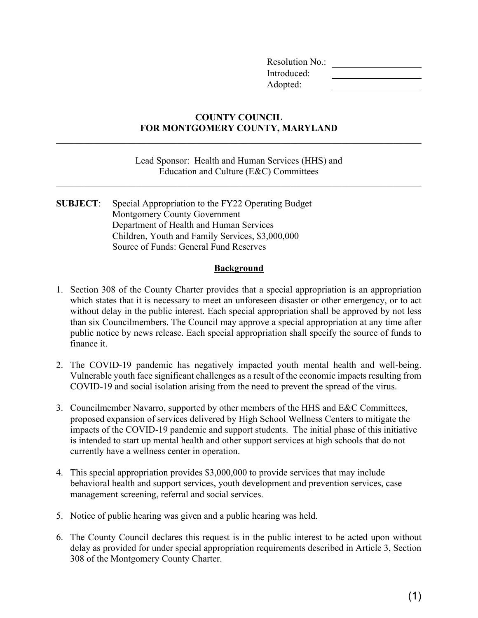Resolution No.: Introduced: Adopted:

#### **COUNTY COUNCIL FOR MONTGOMERY COUNTY, MARYLAND**

Lead Sponsor: Health and Human Services (HHS) and Education and Culture (E&C) Committees

 $\mathcal{L}_\mathcal{L} = \mathcal{L}_\mathcal{L} = \mathcal{L}_\mathcal{L} = \mathcal{L}_\mathcal{L} = \mathcal{L}_\mathcal{L} = \mathcal{L}_\mathcal{L} = \mathcal{L}_\mathcal{L} = \mathcal{L}_\mathcal{L} = \mathcal{L}_\mathcal{L} = \mathcal{L}_\mathcal{L} = \mathcal{L}_\mathcal{L} = \mathcal{L}_\mathcal{L} = \mathcal{L}_\mathcal{L} = \mathcal{L}_\mathcal{L} = \mathcal{L}_\mathcal{L} = \mathcal{L}_\mathcal{L} = \mathcal{L}_\mathcal{L}$ 

**SUBJECT**: Special Appropriation to the FY22 Operating Budget Montgomery County Government Department of Health and Human Services Children, Youth and Family Services, \$3,000,000 Source of Funds: General Fund Reserves

#### **Background**

- 1. Section 308 of the County Charter provides that a special appropriation is an appropriation which states that it is necessary to meet an unforeseen disaster or other emergency, or to act without delay in the public interest. Each special appropriation shall be approved by not less than six Councilmembers. The Council may approve a special appropriation at any time after public notice by news release. Each special appropriation shall specify the source of funds to finance it.
- 2. The COVID-19 pandemic has negatively impacted youth mental health and well-being. Vulnerable youth face significant challenges as a result of the economic impacts resulting from COVID-19 and social isolation arising from the need to prevent the spread of the virus.
- 3. Councilmember Navarro, supported by other members of the HHS and E&C Committees, proposed expansion of services delivered by High School Wellness Centers to mitigate the impacts of the COVID-19 pandemic and support students. The initial phase of this initiative is intended to start up mental health and other support services at high schools that do not currently have a wellness center in operation.
- 4. This special appropriation provides \$3,000,000 to provide services that may include behavioral health and support services, youth development and prevention services, case management screening, referral and social services.
- 5. Notice of public hearing was given and a public hearing was held.
- 6. The County Council declares this request is in the public interest to be acted upon without delay as provided for under special appropriation requirements described in Article 3, Section 308 of the Montgomery County Charter.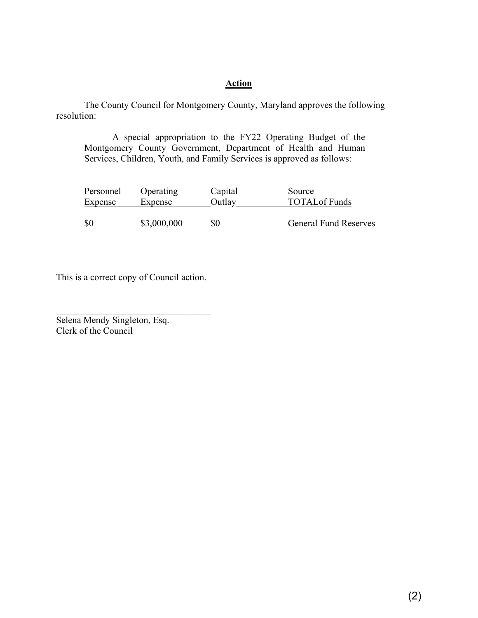## **Action**

The County Council for Montgomery County, Maryland approves the following resolution:

A special appropriation to the FY22 Operating Budget of the Montgomery County Government, Department of Health and Human Services, Children, Youth, and Family Services is approved as follows:

| Personnel      | Operating   | Capital | Source                       |
|----------------|-------------|---------|------------------------------|
| <b>Expense</b> | Expense     | Outlay  | <b>TOTAL</b> of Funds        |
|                |             |         |                              |
| \$0            | \$3,000,000 | \$0     | <b>General Fund Reserves</b> |

This is a correct copy of Council action.

 $\mathcal{L}_\text{max}$  , and the set of the set of the set of the set of the set of the set of the set of the set of the set of the set of the set of the set of the set of the set of the set of the set of the set of the set of the

Selena Mendy Singleton, Esq. Clerk of the Council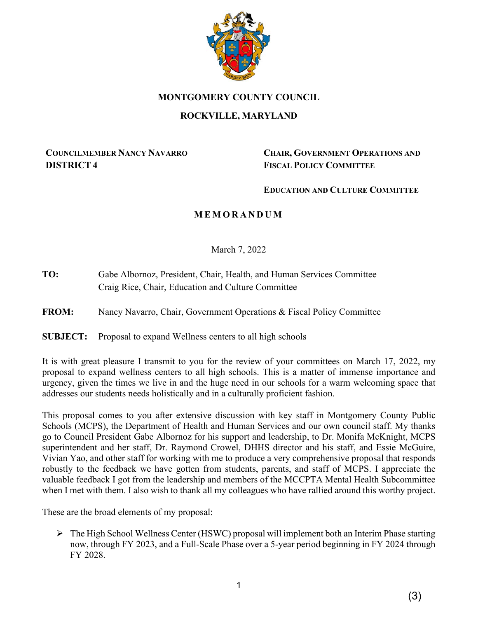

#### **MONTGOMERY COUNTY COUNCIL**

## **ROCKVILLE, MARYLAND**

## **COUNCILMEMBER NANCY NAVARRO DISTRICT 4**

**CHAIR, GOVERNMENT OPERATIONS AND FISCAL POLICY COMMITTEE**

#### **EDUCATION AND CULTURE COMMITTEE**

# **M EMORANDUM**

March 7, 2022

**TO:** Gabe Albornoz, President, Chair, Health, and Human Services Committee Craig Rice, Chair, Education and Culture Committee

**FROM:** Nancy Navarro, Chair, Government Operations & Fiscal Policy Committee

**SUBJECT:** Proposal to expand Wellness centers to all high schools

It is with great pleasure I transmit to you for the review of your committees on March 17, 2022, my proposal to expand wellness centers to all high schools. This is a matter of immense importance and urgency, given the times we live in and the huge need in our schools for a warm welcoming space that addresses our students needs holistically and in a culturally proficient fashion.

This proposal comes to you after extensive discussion with key staff in Montgomery County Public Schools (MCPS), the Department of Health and Human Services and our own council staff. My thanks go to Council President Gabe Albornoz for his support and leadership, to Dr. Monifa McKnight, MCPS superintendent and her staff, Dr. Raymond Crowel, DHHS director and his staff, and Essie McGuire, Vivian Yao, and other staff for working with me to produce a very comprehensive proposal that responds robustly to the feedback we have gotten from students, parents, and staff of MCPS. I appreciate the valuable feedback I got from the leadership and members of the MCCPTA Mental Health Subcommittee when I met with them. I also wish to thank all my colleagues who have rallied around this worthy project.

These are the broad elements of my proposal:

 $\triangleright$  The High School Wellness Center (HSWC) proposal will implement both an Interim Phase starting now, through FY 2023, and a Full-Scale Phase over a 5-year period beginning in FY 2024 through FY 2028.

(3)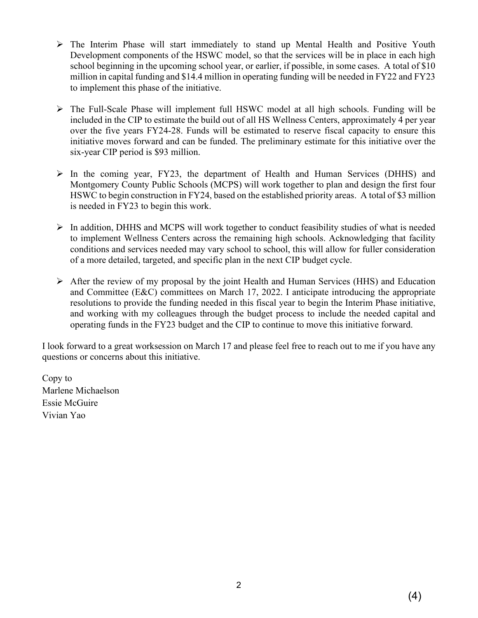- $\triangleright$  The Interim Phase will start immediately to stand up Mental Health and Positive Youth Development components of the HSWC model, so that the services will be in place in each high school beginning in the upcoming school year, or earlier, if possible, in some cases. A total of \$10 million in capital funding and \$14.4 million in operating funding will be needed in FY22 and FY23 to implement this phase of the initiative.
- The Full-Scale Phase will implement full HSWC model at all high schools. Funding will be included in the CIP to estimate the build out of all HS Wellness Centers, approximately 4 per year over the five years FY24-28. Funds will be estimated to reserve fiscal capacity to ensure this initiative moves forward and can be funded. The preliminary estimate for this initiative over the six-year CIP period is \$93 million.
- $\triangleright$  In the coming year, FY23, the department of Health and Human Services (DHHS) and Montgomery County Public Schools (MCPS) will work together to plan and design the first four HSWC to begin construction in FY24, based on the established priority areas. A total of \$3 million is needed in FY23 to begin this work.
- In addition, DHHS and MCPS will work together to conduct feasibility studies of what is needed to implement Wellness Centers across the remaining high schools. Acknowledging that facility conditions and services needed may vary school to school, this will allow for fuller consideration of a more detailed, targeted, and specific plan in the next CIP budget cycle.
- $\triangleright$  After the review of my proposal by the joint Health and Human Services (HHS) and Education and Committee (E&C) committees on March 17, 2022. I anticipate introducing the appropriate resolutions to provide the funding needed in this fiscal year to begin the Interim Phase initiative, and working with my colleagues through the budget process to include the needed capital and operating funds in the FY23 budget and the CIP to continue to move this initiative forward.

I look forward to a great worksession on March 17 and please feel free to reach out to me if you have any questions or concerns about this initiative.

Copy to Marlene Michaelson Essie McGuire Vivian Yao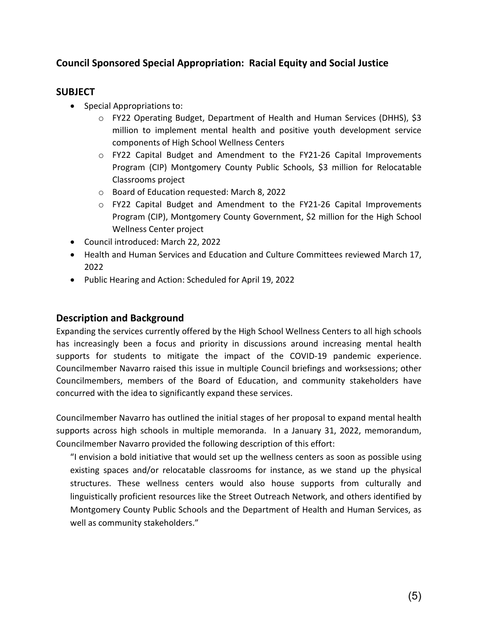# **Council Sponsored Special Appropriation: Racial Equity and Social Justice**

# **SUBJECT**

- Special Appropriations to:
	- o FY22 Operating Budget, Department of Health and Human Services (DHHS), \$3 million to implement mental health and positive youth development service components of High School Wellness Centers
	- $\circ$  FY22 Capital Budget and Amendment to the FY21-26 Capital Improvements Program (CIP) Montgomery County Public Schools, \$3 million for Relocatable Classrooms project
	- o Board of Education requested: March 8, 2022
	- $\circ$  FY22 Capital Budget and Amendment to the FY21-26 Capital Improvements Program (CIP), Montgomery County Government, \$2 million for the High School Wellness Center project
- Council introduced: March 22, 2022
- Health and Human Services and Education and Culture Committees reviewed March 17, 2022
- Public Hearing and Action: Scheduled for April 19, 2022

# **Description and Background**

Expanding the services currently offered by the High School Wellness Centers to all high schools has increasingly been a focus and priority in discussions around increasing mental health supports for students to mitigate the impact of the COVID-19 pandemic experience. Councilmember Navarro raised this issue in multiple Council briefings and worksessions; other Councilmembers, members of the Board of Education, and community stakeholders have concurred with the idea to significantly expand these services.

Councilmember Navarro has outlined the initial stages of her proposal to expand mental health supports across high schools in multiple memoranda. In a January 31, 2022, memorandum, Councilmember Navarro provided the following description of this effort:

"I envision a bold initiative that would set up the wellness centers as soon as possible using existing spaces and/or relocatable classrooms for instance, as we stand up the physical structures. These wellness centers would also house supports from culturally and linguistically proficient resources like the Street Outreach Network, and others identified by Montgomery County Public Schools and the Department of Health and Human Services, as well as community stakeholders."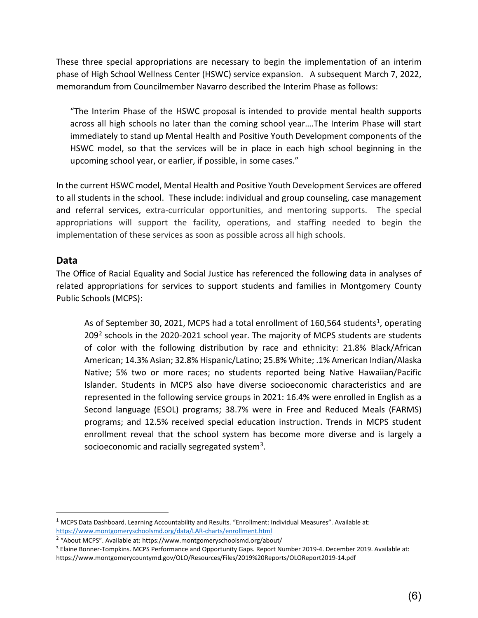These three special appropriations are necessary to begin the implementation of an interim phase of High School Wellness Center (HSWC) service expansion. A subsequent March 7, 2022, memorandum from Councilmember Navarro described the Interim Phase as follows:

"The Interim Phase of the HSWC proposal is intended to provide mental health supports across all high schools no later than the coming school year….The Interim Phase will start immediately to stand up Mental Health and Positive Youth Development components of the HSWC model, so that the services will be in place in each high school beginning in the upcoming school year, or earlier, if possible, in some cases."

In the current HSWC model, Mental Health and Positive Youth Development Services are offered to all students in the school. These include: individual and group counseling, case management and referral services, extra-curricular opportunities, and mentoring supports. The special appropriations will support the facility, operations, and staffing needed to begin the implementation of these services as soon as possible across all high schools.

# **Data**

The Office of Racial Equality and Social Justice has referenced the following data in analyses of related appropriations for services to support students and families in Montgomery County Public Schools (MCPS):

As of September 30, 202[1,](#page-7-0) MCPS had a total enrollment of 160,564 students<sup>1</sup>, operating  $209<sup>2</sup>$  $209<sup>2</sup>$  schools in the 2020-2021 school year. The majority of MCPS students are students of color with the following distribution by race and ethnicity: 21.8% Black/African American; 14.3% Asian; 32.8% Hispanic/Latino; 25.8% White; .1% American Indian/Alaska Native; 5% two or more races; no students reported being Native Hawaiian/Pacific Islander. Students in MCPS also have diverse socioeconomic characteristics and are represented in the following service groups in 2021: 16.4% were enrolled in English as a Second language (ESOL) programs; 38.7% were in Free and Reduced Meals (FARMS) programs; and 12.5% received special education instruction. Trends in MCPS student enrollment reveal that the school system has become more diverse and is largely a socioeconomic and racially segregated system<sup>[3](#page-7-2)</sup>.

<span id="page-7-0"></span><sup>1</sup> MCPS Data Dashboard. Learning Accountability and Results. "Enrollment: Individual Measures". Available at: <https://www.montgomeryschoolsmd.org/data/LAR-charts/enrollment.html>

<span id="page-7-1"></span><sup>2</sup> "About MCPS". Available at: https://www.montgomeryschoolsmd.org/about/

<span id="page-7-2"></span><sup>3</sup> Elaine Bonner-Tompkins. MCPS Performance and Opportunity Gaps. Report Number 2019-4. December 2019. Available at: https://www.montgomerycountymd.gov/OLO/Resources/Files/2019%20Reports/OLOReport2019-14.pdf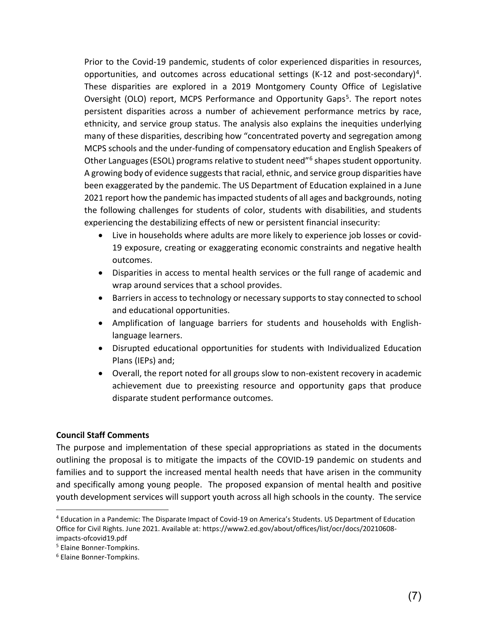Prior to the Covid-19 pandemic, students of color experienced disparities in resources, opportunities, and outcomes across educational settings (K-12 and post-secondary)<sup>[4](#page-8-0)</sup>. These disparities are explored in a 2019 Montgomery County Office of Legislative Oversight (OLO) report, MCPS Performance and Opportunity Gaps<sup>[5](#page-8-1)</sup>. The report notes persistent disparities across a number of achievement performance metrics by race, ethnicity, and service group status. The analysis also explains the inequities underlying many of these disparities, describing how "concentrated poverty and segregation among MCPS schools and the under-funding of compensatory education and English Speakers of Other Languages (ESOL) programs relative to student need["6](#page-8-2) shapes student opportunity. A growing body of evidence suggests that racial, ethnic, and service group disparities have been exaggerated by the pandemic. The US Department of Education explained in a June 2021 report how the pandemic has impacted students of all ages and backgrounds, noting the following challenges for students of color, students with disabilities, and students experiencing the destabilizing effects of new or persistent financial insecurity:

- Live in households where adults are more likely to experience job losses or covid-19 exposure, creating or exaggerating economic constraints and negative health outcomes.
- Disparities in access to mental health services or the full range of academic and wrap around services that a school provides.
- Barriers in access to technology or necessary supports to stay connected to school and educational opportunities.
- Amplification of language barriers for students and households with Englishlanguage learners.
- Disrupted educational opportunities for students with Individualized Education Plans (IEPs) and;
- Overall, the report noted for all groups slow to non-existent recovery in academic achievement due to preexisting resource and opportunity gaps that produce disparate student performance outcomes.

#### **Council Staff Comments**

The purpose and implementation of these special appropriations as stated in the documents outlining the proposal is to mitigate the impacts of the COVID-19 pandemic on students and families and to support the increased mental health needs that have arisen in the community and specifically among young people. The proposed expansion of mental health and positive youth development services will support youth across all high schools in the county. The service

<span id="page-8-0"></span><sup>4</sup> Education in a Pandemic: The Disparate Impact of Covid-19 on America's Students. US Department of Education Office for Civil Rights. June 2021. Available at: https://www2.ed.gov/about/offices/list/ocr/docs/20210608 impacts-ofcovid19.pdf<br><sup>5</sup> Elaine Bonner-Tompkins.

<span id="page-8-1"></span>

<span id="page-8-2"></span><sup>6</sup> Elaine Bonner-Tompkins.